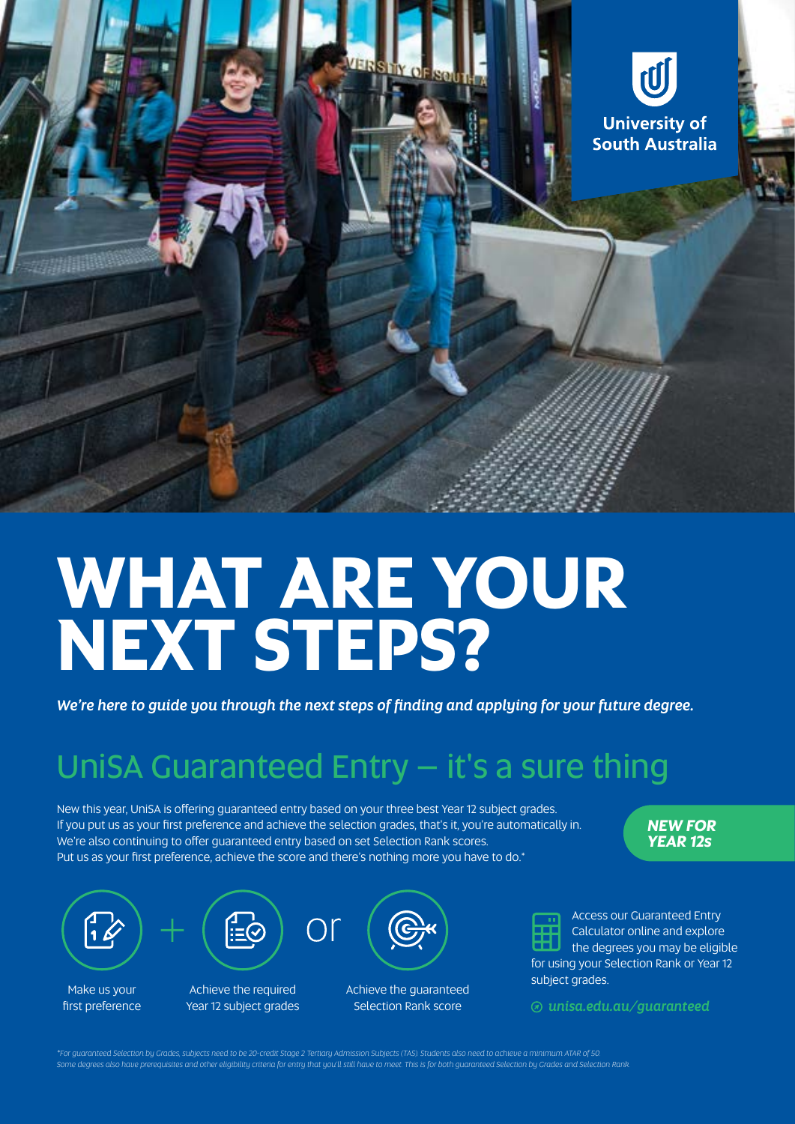

# **WHAT ARE YOUR NEXT STEPS?**

*We're here to guide you through the next steps of finding and applying for your future degree.*

## UniSA Guaranteed Entry - it's a sure thing

New this year, UniSA is offering guaranteed entry based on your three best Year 12 subject grades. If you put us as your first preference and achieve the selection grades, that's it, you're automatically in. We're also continuing to offer guaranteed entry based on set Selection Rank scores. Put us as your first preference, achieve the score and there's nothing more you have to do.\*

*NEW FOR YEAR 12s*



Make us your first preference

Achieve the required Year 12 subject grades

Achieve the guaranteed Selection Rank score



Access our Guaranteed Entry Calculator online and explore the degrees you may be eligible for using your Selection Rank or Year 12 subject grades.

 *[unisa.edu.au/](http://unisa.edu.au/guaranteed)guaranteed*

\*For guaranteed Selection by Grades, subjects need to be 20-credit Stage 2 Tertiary Admission Subjects (TAS). Students also need to achieve a minimum ATAR of 50.<br>Some degrees also have prerequisites and other eligibility c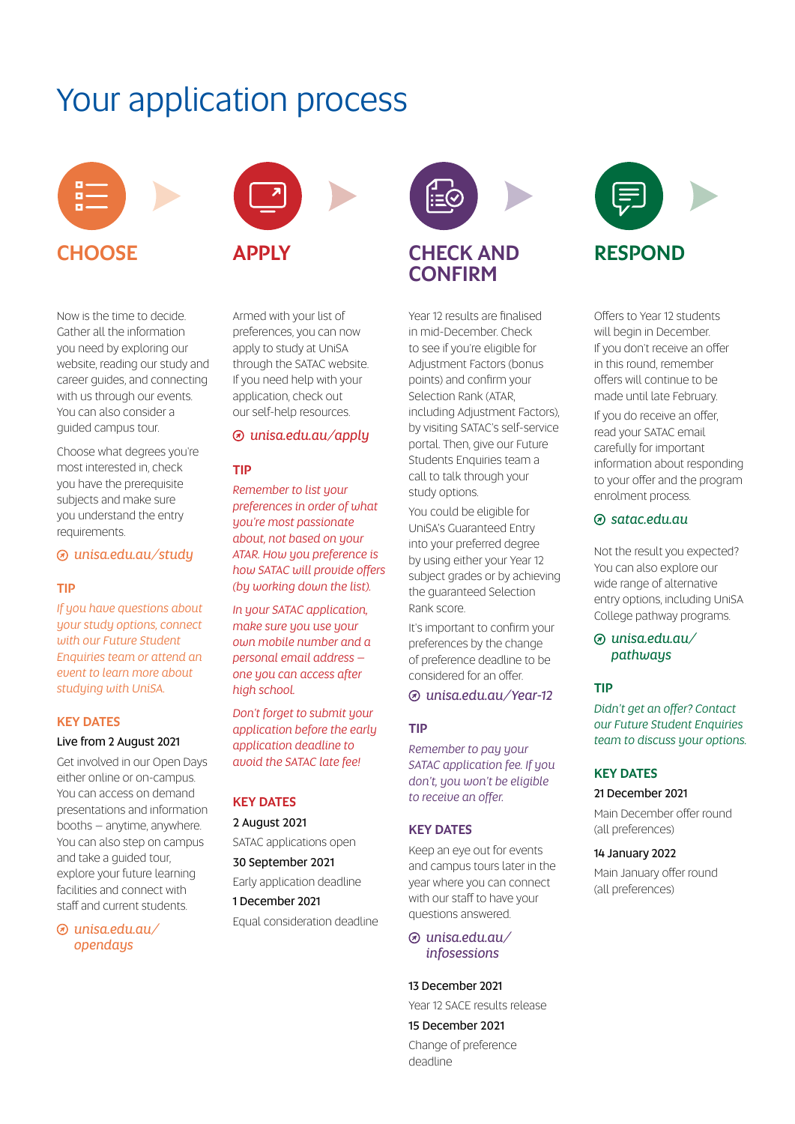### Your application process





Now is the time to decide. Gather all the information you need by exploring our website, reading our study and career guides, and connecting with us through our events. You can also consider a guided campus tour.

Choose what degrees you're most interested in, check you have the prerequisite subjects and make sure you understand the entry requirements.

#### *[unisa.edu.au/](http://unisa.edu.au/study)study*

#### TIP

*If you have questions about your study options, connect with our Future Student Enquiries team or attend an event to learn more about studying with UniSA.*

#### KEY DATES

#### Live from 2 August 2021

Get involved in our Open Days either online or on-campus. You can access on demand presentations and information booths – anytime, anywhere. You can also step on campus and take a guided tour, explore your future learning facilities and connect with staff and current students.

 *[unisa.edu.au/](http://unisa.edu.au/opendays) [opendays](http://unisa.edu.au/opendays)*

Armed with your list of preferences, you can now apply to study at UniSA through the SATAC website. If you need help with your application, check out our self-help resources.

#### *[unisa.edu.au/apply](http://unisa.edu.au/apply)*

#### TIP

*Remember to list your preferences in order of what you're most passionate about, not based on your ATAR. How you preference is how SATAC will provide offers (by working down the list).* 

*In your SATAC application, make sure you use your own mobile number and a personal email address – one you can access after high school.*

*Don't forget to submit your application before the early application deadline to avoid the SATAC late fee!* 

#### KEY DATES

2 August 2021

SATAC applications open

#### 30 September 2021

Early application deadline

1 December 2021

Equal consideration deadline



Year 12 results are finalised in mid-December. Check to see if you're eligible for Adjustment Factors (bonus points) and confirm your Selection Rank (ATAR, including Adjustment Factors), by visiting SATAC's self-service portal. Then, give our Future Students Enquiries team a call to talk through your study options.

You could be eligible for UniSA's Guaranteed Entry into your preferred degree by using either your Year 12 subject grades or by achieving the guaranteed Selection Rank score.

It's important to confirm your preferences by the change of preference deadline to be considered for an offer.

 *[unisa.edu.au/Year-12](http://unisa.edu.au/Year-12)*

#### TIP

*Remember to pay your SATAC application fee. If you don't, you won't be eligible to receive an offer.* 

#### KEY DATES

Keep an eye out for events and campus tours later in the year where you can connect with our staff to have your questions answered.

#### *[unisa.edu.au/](http://unisa.edu.au/infosessions) [infosessions](http://unisa.edu.au/infosessions)*

#### 13 December 2021

Year 12 SACE results release

15 December 2021

Change of preference deadline



Offers to Year 12 students will begin in December. If you don't receive an offer in this round, remember offers will continue to be made until late February.

If you do receive an offer, read your SATAC email carefully for important information about responding to your offer and the program enrolment process.

#### *[satac.edu.au](http://satac.edu.au)*

Not the result you expected? You can also explore our wide range of alternative entry options, including UniSA College pathway programs.

 *[unisa.edu.au/](http://unisa.edu.au/pathways) [pathways](http://unisa.edu.au/pathways)*

#### TIP

*Didn't get an offer? Contact our Future Student Enquiries team to discuss your options.*

#### KEY DATES

21 December 2021

Main December offer round (all preferences)

#### 14 January 2022

Main January offer round (all preferences)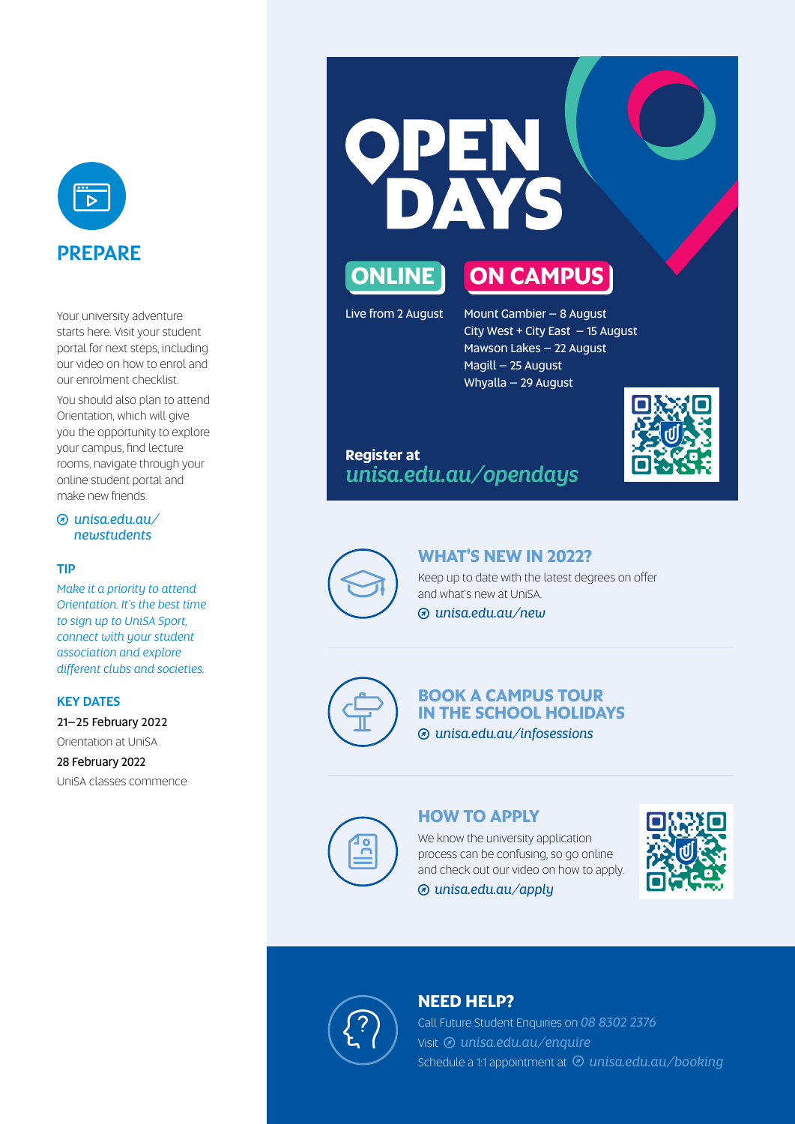

Your university adventure starts here. Visit your student portal for next steps, including our video on how to enrol and our enrolment checklist.

You should also plan to attend Orientation, which will give you the opportunity to explore your campus, find lecture rooms, navigate through your online student portal and make new friends.

#### *[unisa.edu.au/](https://i.unisa.edu.au/students/newstudents/) [newstudents](https://i.unisa.edu.au/students/newstudents/)*

#### TIP

*Make it a priority to attend Orientation. It's the best time to sign up to UniSA Sport, connect with your student association and explore different clubs and societies.*

#### KEY DATES

21–25 February 2022 Orientation at UniSA

28 February 2022 UniSA classes commence





Live from 2 August Mount Gambier  $-8$  August City West + City East – 15 August Mawson Lakes – 22 August Magill – 25 August Whyalla – 29 August

#### **Register at** *[unisa.edu.au/opendays](http://unisa.edu.au/opendays)*





#### **WHAT'S NEW IN 2022?**

Keep up to date with the latest degrees on offer and what's new at UniSA.

 *[unisa.edu.au/new](http://unisa.edu.au/new)*



#### **BOOK A CAMPUS TOUR IN THE SCHOOL HOLIDAYS**  *[unisa.edu.au/infosessions](http://unisa.edu.au/infosessions)*

**HOW TO APPLY**

We know the university application process can be confusing, so go online and check out our video on how to apply.

*[unisa.edu.au/apply](http://unisa.edu.au/apply)*





#### **NEED HELP?**

Call Future Student Enquiries on *08 8302 2376* Visit <sup>2</sup> [unisa.edu.au/enquire](http://unisa.edu.au/enquire) Schedule a 1:1 appointment at  $\odot$  [unisa.edu.au/booking](http://unisa.edu.au/booking)